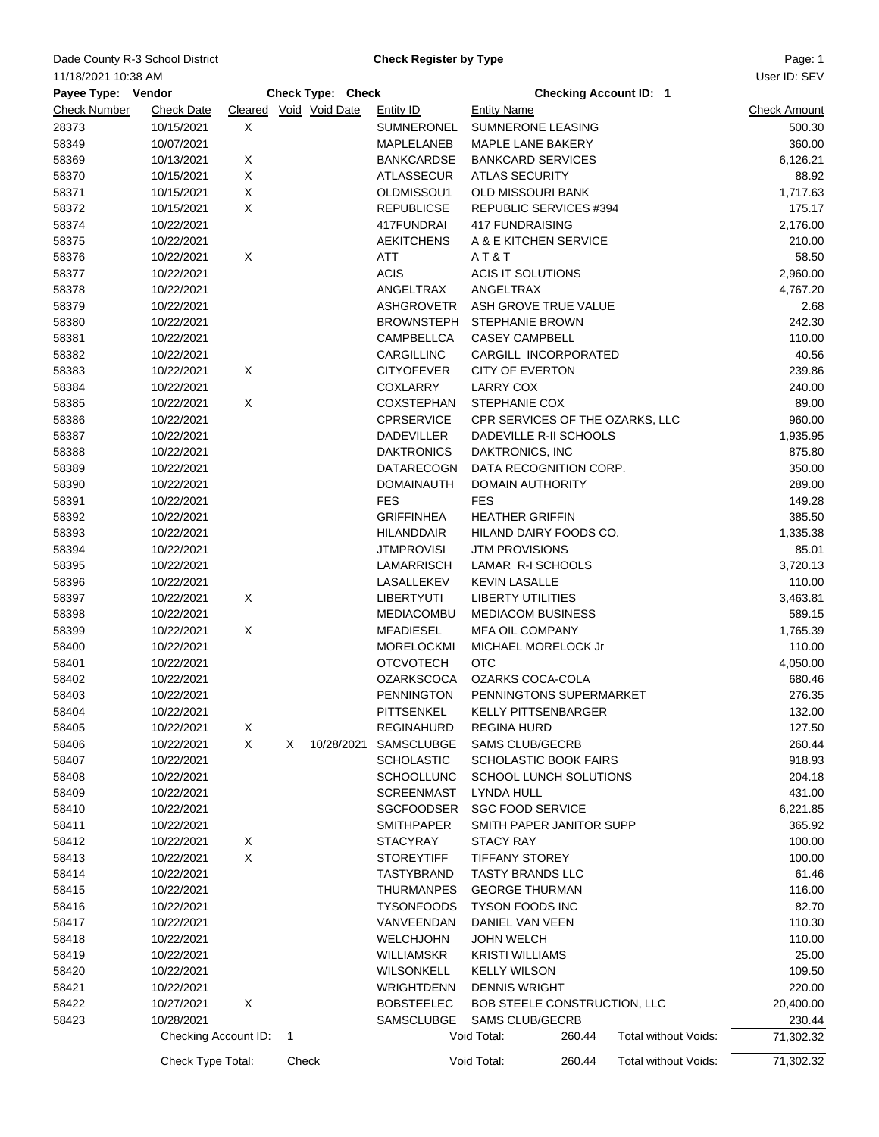## Dade County R-3 School District **Example 20 Check Register by Type** Page: 1

**Check Register by Type**

User ID: SEV

| 11/18/2021 10:38 AM |                      |   |       |                          |                   |                                 |                               |                      | User ID: SEV        |
|---------------------|----------------------|---|-------|--------------------------|-------------------|---------------------------------|-------------------------------|----------------------|---------------------|
| Payee Type: Vendor  |                      |   |       | <b>Check Type: Check</b> |                   |                                 | <b>Checking Account ID: 1</b> |                      |                     |
| <b>Check Number</b> | <b>Check Date</b>    |   |       | Cleared Void Void Date   | <b>Entity ID</b>  | <b>Entity Name</b>              |                               |                      | <b>Check Amount</b> |
| 28373               | 10/15/2021           | X |       |                          | SUMNERONEL        | SUMNERONE LEASING               |                               |                      | 500.30              |
| 58349               | 10/07/2021           |   |       |                          | <b>MAPLELANEB</b> | <b>MAPLE LANE BAKERY</b>        |                               |                      | 360.00              |
| 58369               | 10/13/2021           | X |       |                          | <b>BANKCARDSE</b> | <b>BANKCARD SERVICES</b>        |                               |                      | 6,126.21            |
| 58370               | 10/15/2021           | X |       |                          | <b>ATLASSECUR</b> | <b>ATLAS SECURITY</b>           |                               |                      | 88.92               |
| 58371               | 10/15/2021           | X |       |                          | OLDMISSOU1        | OLD MISSOURI BANK               |                               |                      | 1,717.63            |
| 58372               | 10/15/2021           | X |       |                          | <b>REPUBLICSE</b> | REPUBLIC SERVICES #394          |                               |                      | 175.17              |
| 58374               | 10/22/2021           |   |       |                          | 417FUNDRAI        | <b>417 FUNDRAISING</b>          |                               |                      | 2,176.00            |
| 58375               | 10/22/2021           |   |       |                          | <b>AEKITCHENS</b> | A & E KITCHEN SERVICE           |                               |                      | 210.00              |
| 58376               | 10/22/2021           | X |       |                          | <b>ATT</b>        | AT&T                            |                               |                      | 58.50               |
| 58377               | 10/22/2021           |   |       |                          | <b>ACIS</b>       | ACIS IT SOLUTIONS               |                               |                      | 2,960.00            |
| 58378               | 10/22/2021           |   |       |                          | ANGELTRAX         | ANGELTRAX                       |                               |                      | 4,767.20            |
| 58379               | 10/22/2021           |   |       |                          | ASHGROVETR        | ASH GROVE TRUE VALUE            |                               |                      | 2.68                |
| 58380               | 10/22/2021           |   |       |                          | <b>BROWNSTEPH</b> | <b>STEPHANIE BROWN</b>          |                               |                      | 242.30              |
| 58381               | 10/22/2021           |   |       |                          | CAMPBELLCA        | <b>CASEY CAMPBELL</b>           |                               |                      | 110.00              |
| 58382               | 10/22/2021           |   |       |                          | CARGILLINC        | CARGILL INCORPORATED            |                               |                      | 40.56               |
| 58383               | 10/22/2021           | X |       |                          | <b>CITYOFEVER</b> | <b>CITY OF EVERTON</b>          |                               |                      | 239.86              |
| 58384               | 10/22/2021           |   |       |                          | <b>COXLARRY</b>   | <b>LARRY COX</b>                |                               |                      | 240.00              |
| 58385               | 10/22/2021           | X |       |                          | <b>COXSTEPHAN</b> | STEPHANIE COX                   |                               |                      | 89.00               |
| 58386               | 10/22/2021           |   |       |                          | <b>CPRSERVICE</b> | CPR SERVICES OF THE OZARKS, LLC |                               |                      | 960.00              |
| 58387               | 10/22/2021           |   |       |                          | <b>DADEVILLER</b> | DADEVILLE R-II SCHOOLS          |                               |                      | 1,935.95            |
| 58388               | 10/22/2021           |   |       |                          | <b>DAKTRONICS</b> | DAKTRONICS, INC                 |                               |                      | 875.80              |
| 58389               | 10/22/2021           |   |       |                          | <b>DATARECOGN</b> | DATA RECOGNITION CORP.          |                               |                      | 350.00              |
| 58390               | 10/22/2021           |   |       |                          | <b>DOMAINAUTH</b> | <b>DOMAIN AUTHORITY</b>         |                               |                      | 289.00              |
| 58391               | 10/22/2021           |   |       |                          | <b>FES</b>        | <b>FES</b>                      |                               |                      | 149.28              |
| 58392               | 10/22/2021           |   |       |                          | <b>GRIFFINHEA</b> | <b>HEATHER GRIFFIN</b>          |                               |                      | 385.50              |
| 58393               | 10/22/2021           |   |       |                          | <b>HILANDDAIR</b> | HILAND DAIRY FOODS CO.          |                               |                      | 1,335.38            |
| 58394               | 10/22/2021           |   |       |                          | <b>JTMPROVISI</b> | <b>JTM PROVISIONS</b>           |                               |                      | 85.01               |
| 58395               | 10/22/2021           |   |       |                          | LAMARRISCH        | LAMAR R-I SCHOOLS               |                               |                      | 3,720.13            |
| 58396               | 10/22/2021           |   |       |                          | LASALLEKEV        | <b>KEVIN LASALLE</b>            |                               |                      | 110.00              |
| 58397               | 10/22/2021           | X |       |                          | <b>LIBERTYUTI</b> | <b>LIBERTY UTILITIES</b>        |                               |                      | 3,463.81            |
| 58398               | 10/22/2021           |   |       |                          | <b>MEDIACOMBU</b> | <b>MEDIACOM BUSINESS</b>        |                               |                      | 589.15              |
| 58399               | 10/22/2021           | X |       |                          | <b>MFADIESEL</b>  | <b>MFA OIL COMPANY</b>          |                               |                      | 1,765.39            |
| 58400               | 10/22/2021           |   |       |                          | <b>MORELOCKMI</b> | MICHAEL MORELOCK Jr             |                               |                      | 110.00              |
| 58401               | 10/22/2021           |   |       |                          | <b>OTCVOTECH</b>  | <b>OTC</b>                      |                               |                      | 4,050.00            |
| 58402               | 10/22/2021           |   |       |                          | <b>OZARKSCOCA</b> | OZARKS COCA-COLA                |                               |                      | 680.46              |
| 58403               | 10/22/2021           |   |       |                          | <b>PENNINGTON</b> | PENNINGTONS SUPERMARKET         |                               |                      | 276.35              |
| 58404               | 10/22/2021           |   |       |                          | PITTSENKEL        | <b>KELLY PITTSENBARGER</b>      |                               |                      | 132.00              |
| 58405               | 10/22/2021           | X |       |                          | <b>REGINAHURD</b> | <b>REGINA HURD</b>              |                               |                      | 127.50              |
| 58406               | 10/22/2021           | X | X.    | 10/28/2021               | SAMSCLUBGE        | <b>SAMS CLUB/GECRB</b>          |                               |                      | 260.44              |
| 58407               | 10/22/2021           |   |       |                          | <b>SCHOLASTIC</b> | <b>SCHOLASTIC BOOK FAIRS</b>    |                               |                      | 918.93              |
| 58408               | 10/22/2021           |   |       |                          | <b>SCHOOLLUNC</b> | SCHOOL LUNCH SOLUTIONS          |                               |                      | 204.18              |
| 58409               | 10/22/2021           |   |       |                          | <b>SCREENMAST</b> | LYNDA HULL                      |                               |                      | 431.00              |
| 58410               | 10/22/2021           |   |       |                          | <b>SGCFOODSER</b> | <b>SGC FOOD SERVICE</b>         |                               |                      | 6,221.85            |
| 58411               | 10/22/2021           |   |       |                          | <b>SMITHPAPER</b> | SMITH PAPER JANITOR SUPP        |                               |                      | 365.92              |
| 58412               | 10/22/2021           | X |       |                          | <b>STACYRAY</b>   | <b>STACY RAY</b>                |                               |                      | 100.00              |
| 58413               | 10/22/2021           | X |       |                          | <b>STOREYTIFF</b> | <b>TIFFANY STOREY</b>           |                               |                      | 100.00              |
| 58414               | 10/22/2021           |   |       |                          | TASTYBRAND        | <b>TASTY BRANDS LLC</b>         |                               |                      | 61.46               |
| 58415               | 10/22/2021           |   |       |                          | <b>THURMANPES</b> | <b>GEORGE THURMAN</b>           |                               |                      | 116.00              |
| 58416               | 10/22/2021           |   |       |                          | <b>TYSONFOODS</b> | <b>TYSON FOODS INC</b>          |                               |                      | 82.70               |
| 58417               | 10/22/2021           |   |       |                          | VANVEENDAN        | DANIEL VAN VEEN                 |                               |                      | 110.30              |
| 58418               | 10/22/2021           |   |       |                          | <b>WELCHJOHN</b>  | <b>JOHN WELCH</b>               |                               |                      | 110.00              |
| 58419               | 10/22/2021           |   |       |                          | <b>WILLIAMSKR</b> | <b>KRISTI WILLIAMS</b>          |                               |                      | 25.00               |
| 58420               | 10/22/2021           |   |       |                          | WILSONKELL        | <b>KELLY WILSON</b>             |                               |                      | 109.50              |
| 58421               | 10/22/2021           |   |       |                          | WRIGHTDENN        | <b>DENNIS WRIGHT</b>            |                               |                      | 220.00              |
| 58422               | 10/27/2021           | X |       |                          | <b>BOBSTEELEC</b> | BOB STEELE CONSTRUCTION, LLC    |                               |                      | 20,400.00           |
| 58423               | 10/28/2021           |   |       |                          | SAMSCLUBGE        | <b>SAMS CLUB/GECRB</b>          |                               |                      | 230.44              |
|                     | Checking Account ID: |   | 1     |                          |                   | Void Total:                     | 260.44                        | Total without Voids: | 71,302.32           |
|                     | Check Type Total:    |   | Check |                          |                   | Void Total:                     | 260.44                        | Total without Voids: | 71,302.32           |